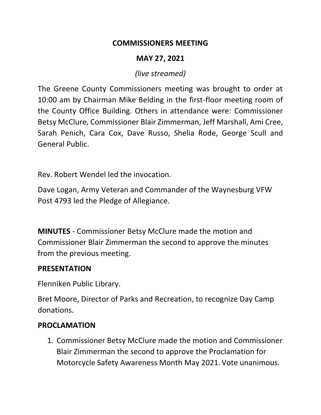#### **COMMISSIONERS MEETING**

## **MAY 27, 2021**

## *(live streamed)*

The Greene County Commissioners meeting was brought to order at 10:00 am by Chairman Mike Belding in the first-floor meeting room of the County Office Building. Others in attendance were: Commissioner Betsy McClure, Commissioner Blair Zimmerman, Jeff Marshall, Ami Cree, Sarah Penich, Cara Cox, Dave Russo, Shelia Rode, George Scull and General Public.

Rev. Robert Wendel led the invocation.

Dave Logan, Army Veteran and Commander of the Waynesburg VFW Post 4793 led the Pledge of Allegiance.

**MINUTES** - Commissioner Betsy McClure made the motion and Commissioner Blair Zimmerman the second to approve the minutes from the previous meeting.

### **PRESENTATION**

Flenniken Public Library.

Bret Moore, Director of Parks and Recreation, to recognize Day Camp donations.

### **PROCLAMATION**

1. Commissioner Betsy McClure made the motion and Commissioner Blair Zimmerman the second to approve the Proclamation for Motorcycle Safety Awareness Month May 2021. Vote unanimous.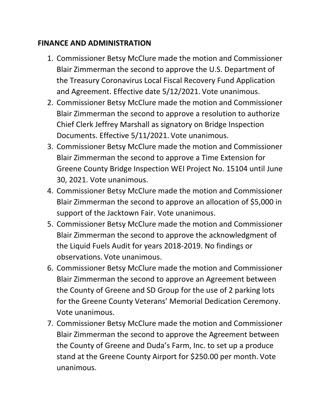### **FINANCE AND ADMINISTRATION**

- 1. Commissioner Betsy McClure made the motion and Commissioner Blair Zimmerman the second to approve the U.S. Department of the Treasury Coronavirus Local Fiscal Recovery Fund Application and Agreement. Effective date 5/12/2021. Vote unanimous.
- 2. Commissioner Betsy McClure made the motion and Commissioner Blair Zimmerman the second to approve a resolution to authorize Chief Clerk Jeffrey Marshall as signatory on Bridge Inspection Documents. Effective 5/11/2021. Vote unanimous.
- 3. Commissioner Betsy McClure made the motion and Commissioner Blair Zimmerman the second to approve a Time Extension for Greene County Bridge Inspection WEI Project No. 15104 until June 30, 2021. Vote unanimous.
- 4. Commissioner Betsy McClure made the motion and Commissioner Blair Zimmerman the second to approve an allocation of \$5,000 in support of the Jacktown Fair. Vote unanimous.
- 5. Commissioner Betsy McClure made the motion and Commissioner Blair Zimmerman the second to approve the acknowledgment of the Liquid Fuels Audit for years 2018-2019. No findings or observations. Vote unanimous.
- 6. Commissioner Betsy McClure made the motion and Commissioner Blair Zimmerman the second to approve an Agreement between the County of Greene and SD Group for the use of 2 parking lots for the Greene County Veterans' Memorial Dedication Ceremony. Vote unanimous.
- 7. Commissioner Betsy McClure made the motion and Commissioner Blair Zimmerman the second to approve the Agreement between the County of Greene and Duda's Farm, Inc. to set up a produce stand at the Greene County Airport for \$250.00 per month. Vote unanimous.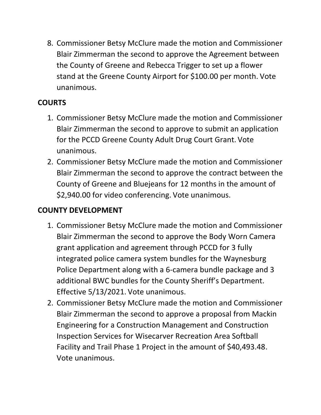8. Commissioner Betsy McClure made the motion and Commissioner Blair Zimmerman the second to approve the Agreement between the County of Greene and Rebecca Trigger to set up a flower stand at the Greene County Airport for \$100.00 per month. Vote unanimous.

## **COURTS**

- 1. Commissioner Betsy McClure made the motion and Commissioner Blair Zimmerman the second to approve to submit an application for the PCCD Greene County Adult Drug Court Grant. Vote unanimous.
- 2. Commissioner Betsy McClure made the motion and Commissioner Blair Zimmerman the second to approve the contract between the County of Greene and Bluejeans for 12 months in the amount of \$2,940.00 for video conferencing. Vote unanimous.

# **COUNTY DEVELOPMENT**

- 1. Commissioner Betsy McClure made the motion and Commissioner Blair Zimmerman the second to approve the Body Worn Camera grant application and agreement through PCCD for 3 fully integrated police camera system bundles for the Waynesburg Police Department along with a 6-camera bundle package and 3 additional BWC bundles for the County Sheriff's Department. Effective 5/13/2021. Vote unanimous.
- 2. Commissioner Betsy McClure made the motion and Commissioner Blair Zimmerman the second to approve a proposal from Mackin Engineering for a Construction Management and Construction Inspection Services for Wisecarver Recreation Area Softball Facility and Trail Phase 1 Project in the amount of \$40,493.48. Vote unanimous.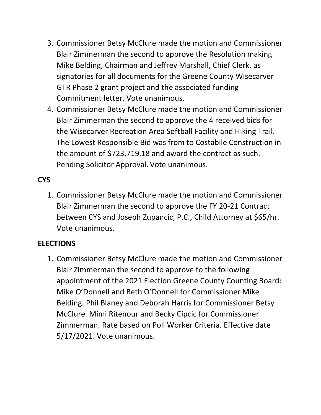- 3. Commissioner Betsy McClure made the motion and Commissioner Blair Zimmerman the second to approve the Resolution making Mike Belding, Chairman and Jeffrey Marshall, Chief Clerk, as signatories for all documents for the Greene County Wisecarver GTR Phase 2 grant project and the associated funding Commitment letter. Vote unanimous.
- 4. Commissioner Betsy McClure made the motion and Commissioner Blair Zimmerman the second to approve the 4 received bids for the Wisecarver Recreation Area Softball Facility and Hiking Trail. The Lowest Responsible Bid was from to Costabile Construction in the amount of \$723,719.18 and award the contract as such. Pending Solicitor Approval. Vote unanimous.

## **CYS**

1. Commissioner Betsy McClure made the motion and Commissioner Blair Zimmerman the second to approve the FY 20-21 Contract between CYS and Joseph Zupancic, P.C., Child Attorney at \$65/hr. Vote unanimous.

## **ELECTIONS**

1. Commissioner Betsy McClure made the motion and Commissioner Blair Zimmerman the second to approve to the following appointment of the 2021 Election Greene County Counting Board: Mike O'Donnell and Beth O'Donnell for Commissioner Mike Belding. Phil Blaney and Deborah Harris for Commissioner Betsy McClure. Mimi Ritenour and Becky Cipcic for Commissioner Zimmerman. Rate based on Poll Worker Criteria. Effective date 5/17/2021. Vote unanimous.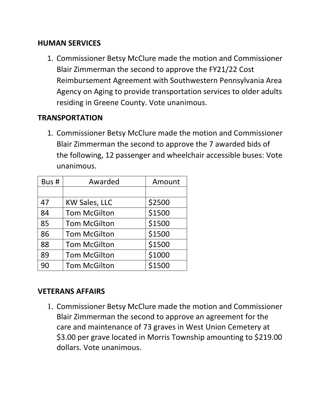#### **HUMAN SERVICES**

1. Commissioner Betsy McClure made the motion and Commissioner Blair Zimmerman the second to approve the FY21/22 Cost Reimbursement Agreement with Southwestern Pennsylvania Area Agency on Aging to provide transportation services to older adults residing in Greene County. Vote unanimous.

### **TRANSPORTATION**

1. Commissioner Betsy McClure made the motion and Commissioner Blair Zimmerman the second to approve the 7 awarded bids of the following, 12 passenger and wheelchair accessible buses: Vote unanimous.

| Bus# | Awarded              | Amount |
|------|----------------------|--------|
|      |                      |        |
| 47   | <b>KW Sales, LLC</b> | \$2500 |
| 84   | <b>Tom McGilton</b>  | \$1500 |
| 85   | <b>Tom McGilton</b>  | \$1500 |
| 86   | <b>Tom McGilton</b>  | \$1500 |
| 88   | <b>Tom McGilton</b>  | \$1500 |
| 89   | <b>Tom McGilton</b>  | \$1000 |
| 90   | <b>Tom McGilton</b>  | \$1500 |

#### **VETERANS AFFAIRS**

1. Commissioner Betsy McClure made the motion and Commissioner Blair Zimmerman the second to approve an agreement for the care and maintenance of 73 graves in West Union Cemetery at \$3.00 per grave located in Morris Township amounting to \$219.00 dollars. Vote unanimous.